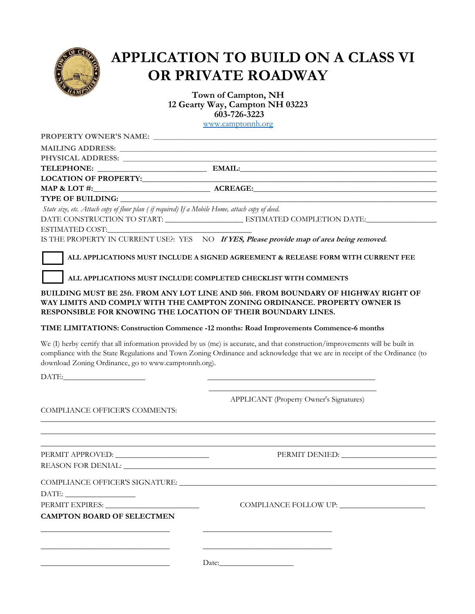

## **APPLICATION TO BUILD ON A CLASS VI OR PRIVATE ROADWAY**

**Town of Campton, NH 12 Gearty Way, Campton NH 03223 603-726-3223** [www.camptonnh.org](http://www.camptonnh.org/)

| State size, etc. Attach copy of floor plan (if required) If a Mobile Home, attach copy of deed.<br>DATE CONSTRUCTION TO START: ________________________________ESTIMATED COMPLETION DATE:_______________________<br>IS THE PROPERTY IN CURRENT USE?: YES NO If YES, Please provide map of area being removed.<br>ALL APPLICATIONS MUST INCLUDE A SIGNED AGREEMENT & RELEASE FORM WITH CURRENT FEE<br>ALL APPLICATIONS MUST INCLUDE COMPLETED CHECKLIST WITH COMMENTS<br>BUILDING MUST BE 25ft. FROM ANY LOT LINE AND 50ft. FROM BOUNDARY OF HIGHWAY RIGHT OF<br>WAY LIMITS AND COMPLY WITH THE CAMPTON ZONING ORDINANCE. PROPERTY OWNER IS<br>RESPONSIBLE FOR KNOWING THE LOCATION OF THEIR BOUNDARY LINES.<br>TIME LIMITATIONS: Construction Commence -12 months: Road Improvements Commence-6 months<br>We (I) herby certify that all information provided by us (me) is accurate, and that construction/improvements will be built in<br>compliance with the State Regulations and Town Zoning Ordinance and acknowledge that we are in receipt of the Ordinance (to<br>download Zoning Ordinance, go to www.camptonnh.org).<br>DATE: North Contract Contract Contract Contract Contract Contract Contract Contract Contract Contract Contract Contract Contract Contract Contract Contract Contract Contract Contract Contract Contract Contract Contract Con<br>APPLICANT (Property Owner's Signatures)<br>COMPLIANCE OFFICER'S COMMENTS:<br>COMPLIANCE OFFICER'S SIGNATURE: __________<br>PERMIT EXPIRES: _________<br><b>CAMPTON BOARD OF SELECTMEN</b> |  |  |
|----------------------------------------------------------------------------------------------------------------------------------------------------------------------------------------------------------------------------------------------------------------------------------------------------------------------------------------------------------------------------------------------------------------------------------------------------------------------------------------------------------------------------------------------------------------------------------------------------------------------------------------------------------------------------------------------------------------------------------------------------------------------------------------------------------------------------------------------------------------------------------------------------------------------------------------------------------------------------------------------------------------------------------------------------------------------------------------------------------------------------------------------------------------------------------------------------------------------------------------------------------------------------------------------------------------------------------------------------------------------------------------------------------------------------------------------------------------------------------------------------------------------------------------------------------------|--|--|
|                                                                                                                                                                                                                                                                                                                                                                                                                                                                                                                                                                                                                                                                                                                                                                                                                                                                                                                                                                                                                                                                                                                                                                                                                                                                                                                                                                                                                                                                                                                                                                |  |  |
|                                                                                                                                                                                                                                                                                                                                                                                                                                                                                                                                                                                                                                                                                                                                                                                                                                                                                                                                                                                                                                                                                                                                                                                                                                                                                                                                                                                                                                                                                                                                                                |  |  |
|                                                                                                                                                                                                                                                                                                                                                                                                                                                                                                                                                                                                                                                                                                                                                                                                                                                                                                                                                                                                                                                                                                                                                                                                                                                                                                                                                                                                                                                                                                                                                                |  |  |
|                                                                                                                                                                                                                                                                                                                                                                                                                                                                                                                                                                                                                                                                                                                                                                                                                                                                                                                                                                                                                                                                                                                                                                                                                                                                                                                                                                                                                                                                                                                                                                |  |  |
|                                                                                                                                                                                                                                                                                                                                                                                                                                                                                                                                                                                                                                                                                                                                                                                                                                                                                                                                                                                                                                                                                                                                                                                                                                                                                                                                                                                                                                                                                                                                                                |  |  |
|                                                                                                                                                                                                                                                                                                                                                                                                                                                                                                                                                                                                                                                                                                                                                                                                                                                                                                                                                                                                                                                                                                                                                                                                                                                                                                                                                                                                                                                                                                                                                                |  |  |
|                                                                                                                                                                                                                                                                                                                                                                                                                                                                                                                                                                                                                                                                                                                                                                                                                                                                                                                                                                                                                                                                                                                                                                                                                                                                                                                                                                                                                                                                                                                                                                |  |  |
|                                                                                                                                                                                                                                                                                                                                                                                                                                                                                                                                                                                                                                                                                                                                                                                                                                                                                                                                                                                                                                                                                                                                                                                                                                                                                                                                                                                                                                                                                                                                                                |  |  |
|                                                                                                                                                                                                                                                                                                                                                                                                                                                                                                                                                                                                                                                                                                                                                                                                                                                                                                                                                                                                                                                                                                                                                                                                                                                                                                                                                                                                                                                                                                                                                                |  |  |
|                                                                                                                                                                                                                                                                                                                                                                                                                                                                                                                                                                                                                                                                                                                                                                                                                                                                                                                                                                                                                                                                                                                                                                                                                                                                                                                                                                                                                                                                                                                                                                |  |  |
|                                                                                                                                                                                                                                                                                                                                                                                                                                                                                                                                                                                                                                                                                                                                                                                                                                                                                                                                                                                                                                                                                                                                                                                                                                                                                                                                                                                                                                                                                                                                                                |  |  |
|                                                                                                                                                                                                                                                                                                                                                                                                                                                                                                                                                                                                                                                                                                                                                                                                                                                                                                                                                                                                                                                                                                                                                                                                                                                                                                                                                                                                                                                                                                                                                                |  |  |
|                                                                                                                                                                                                                                                                                                                                                                                                                                                                                                                                                                                                                                                                                                                                                                                                                                                                                                                                                                                                                                                                                                                                                                                                                                                                                                                                                                                                                                                                                                                                                                |  |  |
|                                                                                                                                                                                                                                                                                                                                                                                                                                                                                                                                                                                                                                                                                                                                                                                                                                                                                                                                                                                                                                                                                                                                                                                                                                                                                                                                                                                                                                                                                                                                                                |  |  |
|                                                                                                                                                                                                                                                                                                                                                                                                                                                                                                                                                                                                                                                                                                                                                                                                                                                                                                                                                                                                                                                                                                                                                                                                                                                                                                                                                                                                                                                                                                                                                                |  |  |
|                                                                                                                                                                                                                                                                                                                                                                                                                                                                                                                                                                                                                                                                                                                                                                                                                                                                                                                                                                                                                                                                                                                                                                                                                                                                                                                                                                                                                                                                                                                                                                |  |  |
|                                                                                                                                                                                                                                                                                                                                                                                                                                                                                                                                                                                                                                                                                                                                                                                                                                                                                                                                                                                                                                                                                                                                                                                                                                                                                                                                                                                                                                                                                                                                                                |  |  |
|                                                                                                                                                                                                                                                                                                                                                                                                                                                                                                                                                                                                                                                                                                                                                                                                                                                                                                                                                                                                                                                                                                                                                                                                                                                                                                                                                                                                                                                                                                                                                                |  |  |
|                                                                                                                                                                                                                                                                                                                                                                                                                                                                                                                                                                                                                                                                                                                                                                                                                                                                                                                                                                                                                                                                                                                                                                                                                                                                                                                                                                                                                                                                                                                                                                |  |  |
|                                                                                                                                                                                                                                                                                                                                                                                                                                                                                                                                                                                                                                                                                                                                                                                                                                                                                                                                                                                                                                                                                                                                                                                                                                                                                                                                                                                                                                                                                                                                                                |  |  |
|                                                                                                                                                                                                                                                                                                                                                                                                                                                                                                                                                                                                                                                                                                                                                                                                                                                                                                                                                                                                                                                                                                                                                                                                                                                                                                                                                                                                                                                                                                                                                                |  |  |
|                                                                                                                                                                                                                                                                                                                                                                                                                                                                                                                                                                                                                                                                                                                                                                                                                                                                                                                                                                                                                                                                                                                                                                                                                                                                                                                                                                                                                                                                                                                                                                |  |  |
|                                                                                                                                                                                                                                                                                                                                                                                                                                                                                                                                                                                                                                                                                                                                                                                                                                                                                                                                                                                                                                                                                                                                                                                                                                                                                                                                                                                                                                                                                                                                                                |  |  |
|                                                                                                                                                                                                                                                                                                                                                                                                                                                                                                                                                                                                                                                                                                                                                                                                                                                                                                                                                                                                                                                                                                                                                                                                                                                                                                                                                                                                                                                                                                                                                                |  |  |
|                                                                                                                                                                                                                                                                                                                                                                                                                                                                                                                                                                                                                                                                                                                                                                                                                                                                                                                                                                                                                                                                                                                                                                                                                                                                                                                                                                                                                                                                                                                                                                |  |  |